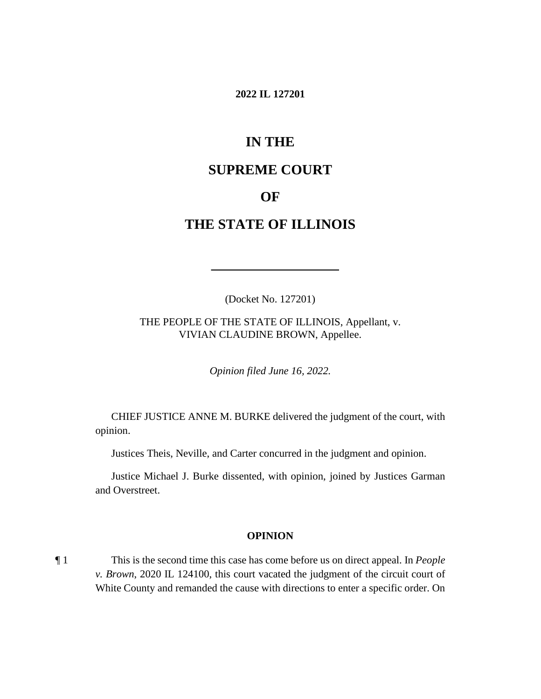#### **2022 IL 127201**

# **IN THE**

# **SUPREME COURT**

## **OF**

# **THE STATE OF ILLINOIS**

(Docket No. 127201)

 THE PEOPLE OF THE STATE OF ILLINOIS, Appellant, v. VIVIAN CLAUDINE BROWN, Appellee.

*Opinion filed June 16, 2022.* 

 CHIEF JUSTICE ANNE M. BURKE delivered the judgment of the court, with opinion.

Justices Theis, Neville, and Carter concurred in the judgment and opinion.

Justice Michael J. Burke dissented, with opinion, joined by Justices Garman and Overstreet.

#### **OPINION**

 ¶ 1 This is the second time this case has come before us on direct appeal. In *People v. Brown*, 2020 IL 124100, this court vacated the judgment of the circuit court of White County and remanded the cause with directions to enter a specific order. On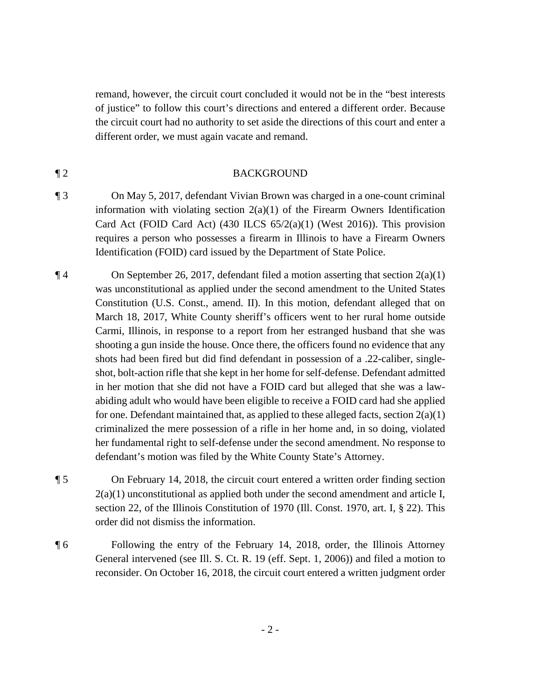remand, however, the circuit court concluded it would not be in the "best interests of justice" to follow this court's directions and entered a different order. Because the circuit court had no authority to set aside the directions of this court and enter a different order, we must again vacate and remand.

#### ¶ 2 BACKGROUND

- information with violating section  $2(a)(1)$  of the Firearm Owners Identification requires a person who possesses a firearm in Illinois to have a Firearm Owners ¶ 3 On May 5, 2017, defendant Vivian Brown was charged in a one-count criminal Card Act (FOID Card Act) (430 ILCS  $65/2(a)(1)$  (West 2016)). This provision Identification (FOID) card issued by the Department of State Police.
- March 18, 2017, White County sheriff's officers went to her rural home outside ¶ 4 On September 26, 2017, defendant filed a motion asserting that section 2(a)(1) was unconstitutional as applied under the second amendment to the United States Constitution (U.S. Const., amend. II). In this motion, defendant alleged that on Carmi, Illinois, in response to a report from her estranged husband that she was shooting a gun inside the house. Once there, the officers found no evidence that any shots had been fired but did find defendant in possession of a .22-caliber, singleshot, bolt-action rifle that she kept in her home for self-defense. Defendant admitted in her motion that she did not have a FOID card but alleged that she was a lawabiding adult who would have been eligible to receive a FOID card had she applied for one. Defendant maintained that, as applied to these alleged facts, section  $2(a)(1)$ criminalized the mere possession of a rifle in her home and, in so doing, violated her fundamental right to self-defense under the second amendment. No response to defendant's motion was filed by the White County State's Attorney.
- $2(a)(1)$  unconstitutional as applied both under the second amendment and article I, ¶ 5 On February 14, 2018, the circuit court entered a written order finding section section 22, of the Illinois Constitution of 1970 (Ill. Const. 1970, art. I, § 22). This order did not dismiss the information.
- ¶ 6 Following the entry of the February 14, 2018, order, the Illinois Attorney General intervened (see Ill. S. Ct. R. 19 (eff. Sept. 1, 2006)) and filed a motion to reconsider. On October 16, 2018, the circuit court entered a written judgment order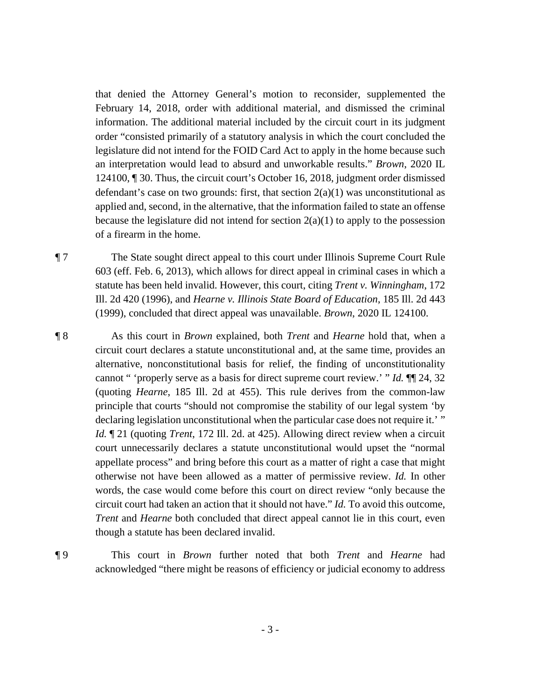February 14, 2018, order with additional material, and dismissed the criminal applied and, second, in the alternative, that the information failed to state an offense of a firearm in the home. that denied the Attorney General's motion to reconsider, supplemented the information. The additional material included by the circuit court in its judgment order "consisted primarily of a statutory analysis in which the court concluded the legislature did not intend for the FOID Card Act to apply in the home because such an interpretation would lead to absurd and unworkable results." *Brown*, 2020 IL 124100, ¶ 30. Thus, the circuit court's October 16, 2018, judgment order dismissed defendant's case on two grounds: first, that section  $2(a)(1)$  was unconstitutional as because the legislature did not intend for section  $2(a)(1)$  to apply to the possession

¶ 7 The State sought direct appeal to this court under Illinois Supreme Court Rule 603 (eff. Feb. 6, 2013), which allows for direct appeal in criminal cases in which a statute has been held invalid. However, this court, citing *Trent v. Winningham*, 172 Ill. 2d 420 (1996), and *Hearne v. Illinois State Board of Education*, 185 Ill. 2d 443 (1999), concluded that direct appeal was unavailable. *Brown*, 2020 IL 124100.

 cannot " 'properly serve as a basis for direct supreme court review.' " *Id.* ¶¶ 24, 32 *Id.* ¶ 21 (quoting *Trent*, 172 Ill. 2d. at 425). Allowing direct review when a circuit otherwise not have been allowed as a matter of permissive review. *Id.* In other circuit court had taken an action that it should not have." *Id.* To avoid this outcome, ¶ 8 As this court in *Brown* explained, both *Trent* and *Hearne* hold that, when a circuit court declares a statute unconstitutional and, at the same time, provides an alternative, nonconstitutional basis for relief, the finding of unconstitutionality (quoting *Hearne*, 185 Ill. 2d at 455). This rule derives from the common-law principle that courts "should not compromise the stability of our legal system 'by declaring legislation unconstitutional when the particular case does not require it.' " court unnecessarily declares a statute unconstitutional would upset the "normal appellate process" and bring before this court as a matter of right a case that might words, the case would come before this court on direct review "only because the *Trent* and *Hearne* both concluded that direct appeal cannot lie in this court, even though a statute has been declared invalid.

¶ 9 This court in *Brown* further noted that both *Trent* and *Hearne* had acknowledged "there might be reasons of efficiency or judicial economy to address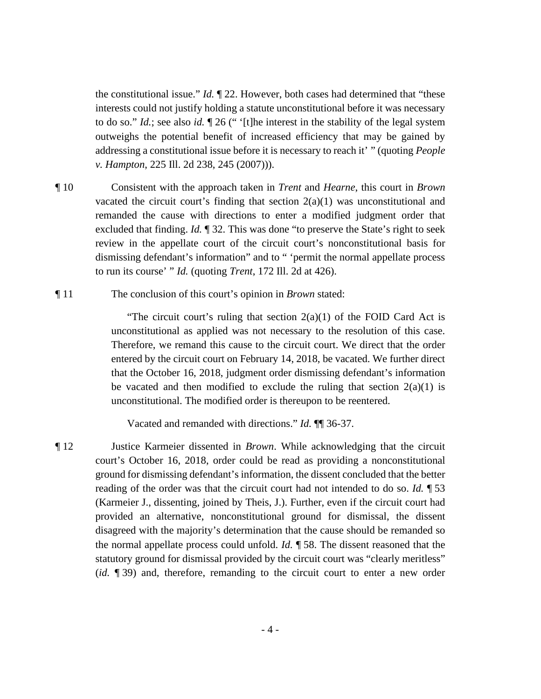the constitutional issue." *Id.* ¶ 22. However, both cases had determined that "these  to do so." *Id.*; see also *id.* ¶ 26 (" '[t]he interest in the stability of the legal system interests could not justify holding a statute unconstitutional before it was necessary outweighs the potential benefit of increased efficiency that may be gained by addressing a constitutional issue before it is necessary to reach it' " (quoting *People v. Hampton*, 225 Ill. 2d 238, 245 (2007))).

- ¶ 10 Consistent with the approach taken in *Trent* and *Hearne*, this court in *Brown*  vacated the circuit court's finding that section  $2(a)(1)$  was unconstitutional and remanded the cause with directions to enter a modified judgment order that excluded that finding. *Id.* ¶ 32. This was done "to preserve the State's right to seek review in the appellate court of the circuit court's nonconstitutional basis for dismissing defendant's information" and to " 'permit the normal appellate process to run its course' " *Id.* (quoting *Trent*, 172 Ill. 2d at 426).
- ¶ 11 The conclusion of this court's opinion in *Brown* stated:

"The circuit court's ruling that section  $2(a)(1)$  of the FOID Card Act is unconstitutional as applied was not necessary to the resolution of this case. Therefore, we remand this cause to the circuit court. We direct that the order entered by the circuit court on February 14, 2018, be vacated. We further direct that the October 16, 2018, judgment order dismissing defendant's information be vacated and then modified to exclude the ruling that section  $2(a)(1)$  is unconstitutional. The modified order is thereupon to be reentered.

Vacated and remanded with directions." *Id.* ¶¶ 36-37.

 the normal appellate process could unfold. *Id.* ¶ 58. The dissent reasoned that the (*id.* ¶ 39) and, therefore, remanding to the circuit court to enter a new order ¶ 12 Justice Karmeier dissented in *Brown*. While acknowledging that the circuit court's October 16, 2018, order could be read as providing a nonconstitutional ground for dismissing defendant's information, the dissent concluded that the better reading of the order was that the circuit court had not intended to do so. *Id.* ¶ 53 (Karmeier J., dissenting, joined by Theis, J.). Further, even if the circuit court had provided an alternative, nonconstitutional ground for dismissal, the dissent disagreed with the majority's determination that the cause should be remanded so statutory ground for dismissal provided by the circuit court was "clearly meritless"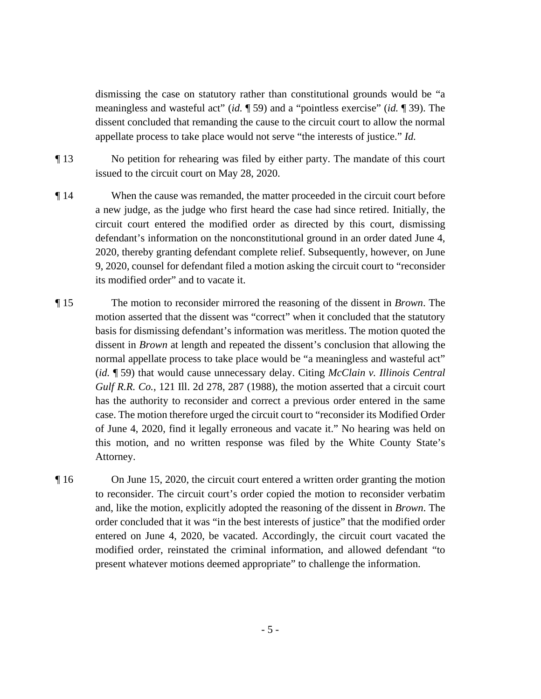dismissing the case on statutory rather than constitutional grounds would be "a meaningless and wasteful act" (*id.* ¶ 59) and a "pointless exercise" (*id.* ¶ 39). The appellate process to take place would not serve "the interests of justice." *Id.* dissent concluded that remanding the cause to the circuit court to allow the normal

- ¶ 13 No petition for rehearing was filed by either party. The mandate of this court issued to the circuit court on May 28, 2020.
- ¶ 14 When the cause was remanded, the matter proceeded in the circuit court before a new judge, as the judge who first heard the case had since retired. Initially, the circuit court entered the modified order as directed by this court, dismissing defendant's information on the nonconstitutional ground in an order dated June 4, 2020, thereby granting defendant complete relief. Subsequently, however, on June 9, 2020, counsel for defendant filed a motion asking the circuit court to "reconsider its modified order" and to vacate it.
- motion asserted that the dissent was "correct" when it concluded that the statutory  (*id.* ¶ 59) that would cause unnecessary delay. Citing *McClain v. Illinois Central*  ¶ 15 The motion to reconsider mirrored the reasoning of the dissent in *Brown*. The basis for dismissing defendant's information was meritless. The motion quoted the dissent in *Brown* at length and repeated the dissent's conclusion that allowing the normal appellate process to take place would be "a meaningless and wasteful act" *Gulf R.R. Co.*, 121 Ill. 2d 278, 287 (1988), the motion asserted that a circuit court has the authority to reconsider and correct a previous order entered in the same case. The motion therefore urged the circuit court to "reconsider its Modified Order of June 4, 2020, find it legally erroneous and vacate it." No hearing was held on this motion, and no written response was filed by the White County State's Attorney.
- ¶ 16 On June 15, 2020, the circuit court entered a written order granting the motion to reconsider. The circuit court's order copied the motion to reconsider verbatim and, like the motion, explicitly adopted the reasoning of the dissent in *Brown*. The order concluded that it was "in the best interests of justice" that the modified order entered on June 4, 2020, be vacated. Accordingly, the circuit court vacated the modified order, reinstated the criminal information, and allowed defendant "to present whatever motions deemed appropriate" to challenge the information.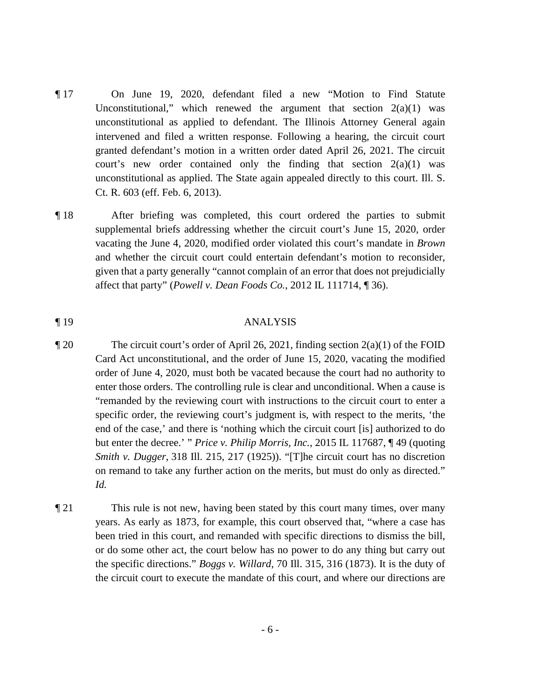- ¶ 17 On June 19, 2020, defendant filed a new "Motion to Find Statute Unconstitutional," which renewed the argument that section  $2(a)(1)$  was unconstitutional as applied to defendant. The Illinois Attorney General again intervened and filed a written response. Following a hearing, the circuit court granted defendant's motion in a written order dated April 26, 2021. The circuit court's new order contained only the finding that section  $2(a)(1)$  was unconstitutional as applied. The State again appealed directly to this court. Ill. S. Ct. R. 603 (eff. Feb. 6, 2013).
- ¶ 18 After briefing was completed, this court ordered the parties to submit supplemental briefs addressing whether the circuit court's June 15, 2020, order vacating the June 4, 2020, modified order violated this court's mandate in *Brown*  and whether the circuit court could entertain defendant's motion to reconsider, given that a party generally "cannot complain of an error that does not prejudicially affect that party" (*Powell v. Dean Foods Co.*, 2012 IL 111714, ¶ 36).

#### ¶ 19 ANALYSIS

- enter those orders. The controlling rule is clear and unconditional. When a cause is "remanded by the reviewing court with instructions to the circuit court to enter a end of the case,' and there is 'nothing which the circuit court [is] authorized to do but enter the decree.' " *Price v. Philip Morris, Inc.*, 2015 IL 117687, ¶ 49 (quoting ¶ 20 The circuit court's order of April 26, 2021, finding section 2(a)(1) of the FOID Card Act unconstitutional, and the order of June 15, 2020, vacating the modified order of June 4, 2020, must both be vacated because the court had no authority to specific order, the reviewing court's judgment is, with respect to the merits, 'the *Smith v. Dugger*, 318 Ill. 215, 217 (1925)). "[T]he circuit court has no discretion on remand to take any further action on the merits, but must do only as directed." *Id.*
- ¶ 21 This rule is not new, having been stated by this court many times, over many years. As early as 1873, for example, this court observed that, "where a case has been tried in this court, and remanded with specific directions to dismiss the bill, or do some other act, the court below has no power to do any thing but carry out the specific directions." *Boggs v. Willard*, 70 Ill. 315, 316 (1873). It is the duty of the circuit court to execute the mandate of this court, and where our directions are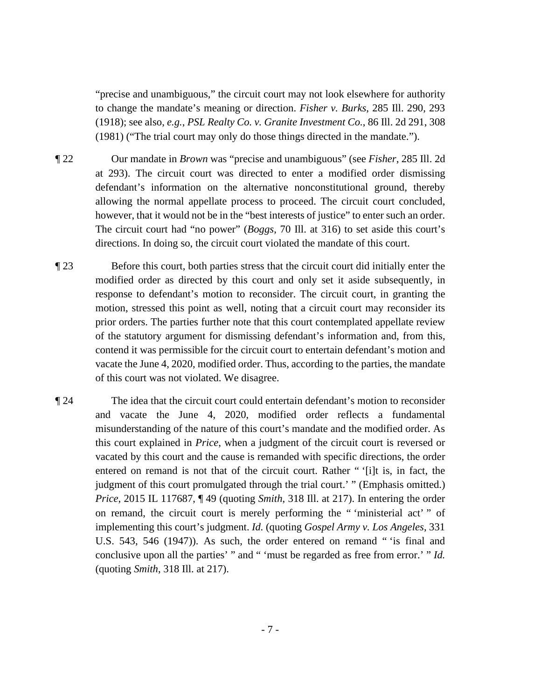"precise and unambiguous," the circuit court may not look elsewhere for authority to change the mandate's meaning or direction. *Fisher v. Burks*, 285 Ill. 290, 293 (1918); see also, *e.g.*, *PSL Realty Co. v. Granite Investment Co.*, 86 Ill. 2d 291, 308 (1981) ("The trial court may only do those things directed in the mandate.").

¶ 22 Our mandate in *Brown* was "precise and unambiguous" (see *Fisher*, 285 Ill. 2d at 293). The circuit court was directed to enter a modified order dismissing defendant's information on the alternative nonconstitutional ground, thereby allowing the normal appellate process to proceed. The circuit court concluded, however, that it would not be in the "best interests of justice" to enter such an order. The circuit court had "no power" (*Boggs*, 70 Ill. at 316) to set aside this court's directions. In doing so, the circuit court violated the mandate of this court.

- ¶ 23 Before this court, both parties stress that the circuit court did initially enter the modified order as directed by this court and only set it aside subsequently, in response to defendant's motion to reconsider. The circuit court, in granting the motion, stressed this point as well, noting that a circuit court may reconsider its prior orders. The parties further note that this court contemplated appellate review of the statutory argument for dismissing defendant's information and, from this, contend it was permissible for the circuit court to entertain defendant's motion and vacate the June 4, 2020, modified order. Thus, according to the parties, the mandate of this court was not violated. We disagree.
- and vacate the June 4, 2020, modified order reflects a fundamental entered on remand is not that of the circuit court. Rather " '[i]t is, in fact, the on remand, the circuit court is merely performing the " 'ministerial act' " of U.S. 543, 546 (1947)). As such, the order entered on remand " 'is final and conclusive upon all the parties' " and " 'must be regarded as free from error.' " *Id.*  ¶ 24 The idea that the circuit court could entertain defendant's motion to reconsider misunderstanding of the nature of this court's mandate and the modified order. As this court explained in *Price*, when a judgment of the circuit court is reversed or vacated by this court and the cause is remanded with specific directions, the order judgment of this court promulgated through the trial court.' " (Emphasis omitted.) *Price*, 2015 IL 117687, ¶ 49 (quoting *Smith*, 318 Ill. at 217). In entering the order implementing this court's judgment. *Id.* (quoting *Gospel Army v. Los Angeles*, 331 (quoting *Smith*, 318 Ill. at 217).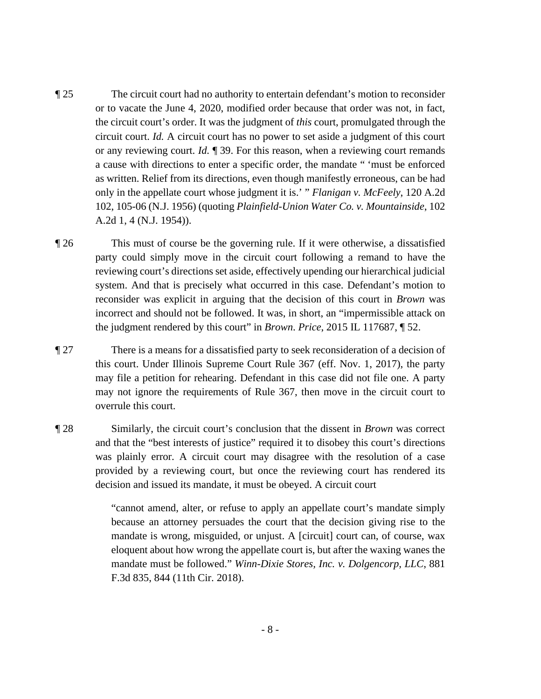- ¶ 25 The circuit court had no authority to entertain defendant's motion to reconsider or to vacate the June 4, 2020, modified order because that order was not, in fact, the circuit court's order. It was the judgment of *this* court, promulgated through the circuit court. *Id.* A circuit court has no power to set aside a judgment of this court or any reviewing court. *Id.* ¶ 39. For this reason, when a reviewing court remands a cause with directions to enter a specific order, the mandate " 'must be enforced as written. Relief from its directions, even though manifestly erroneous, can be had only in the appellate court whose judgment it is.' " *Flanigan v. McFeely*, 120 A.2d 102, 105-06 (N.J. 1956) (quoting *Plainfield-Union Water Co. v. Mountainside*, 102 A.2d 1, 4 (N.J. 1954)).
- ¶ 26 This must of course be the governing rule. If it were otherwise, a dissatisfied party could simply move in the circuit court following a remand to have the reviewing court's directions set aside, effectively upending our hierarchical judicial system. And that is precisely what occurred in this case. Defendant's motion to reconsider was explicit in arguing that the decision of this court in *Brown* was incorrect and should not be followed. It was, in short, an "impermissible attack on the judgment rendered by this court" in *Brown*. *Price*, 2015 IL 117687, ¶ 52.
- ¶ 27 There is a means for a dissatisfied party to seek reconsideration of a decision of this court. Under Illinois Supreme Court Rule 367 (eff. Nov. 1, 2017), the party may file a petition for rehearing. Defendant in this case did not file one. A party may not ignore the requirements of Rule 367, then move in the circuit court to overrule this court.
- decision and issued its mandate, it must be obeyed. A circuit court ¶ 28 Similarly, the circuit court's conclusion that the dissent in *Brown* was correct and that the "best interests of justice" required it to disobey this court's directions was plainly error. A circuit court may disagree with the resolution of a case provided by a reviewing court, but once the reviewing court has rendered its

"cannot amend, alter, or refuse to apply an appellate court's mandate simply because an attorney persuades the court that the decision giving rise to the mandate is wrong, misguided, or unjust. A [circuit] court can, of course, wax eloquent about how wrong the appellate court is, but after the waxing wanes the mandate must be followed." *Winn-Dixie Stores, Inc. v. Dolgencorp, LLC*, 881 F.3d 835, 844 (11th Cir. 2018).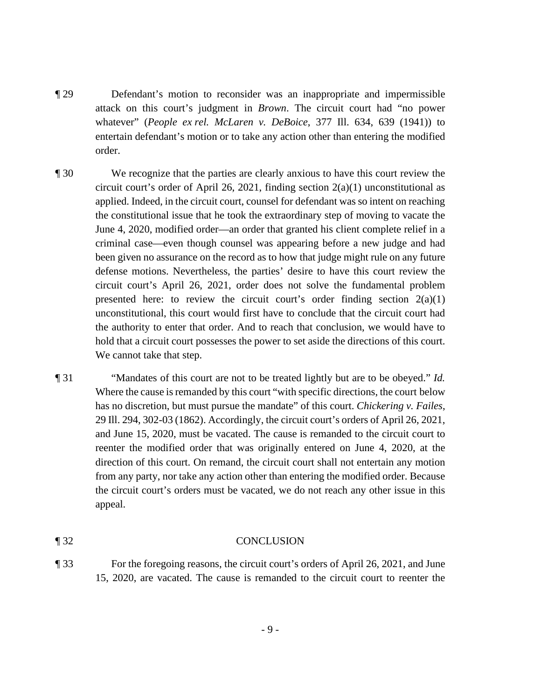- ¶ 29 Defendant's motion to reconsider was an inappropriate and impermissible attack on this court's judgment in *Brown*. The circuit court had "no power whatever" (*People ex rel. McLaren v. DeBoice*, 377 Ill. 634, 639 (1941)) to entertain defendant's motion or to take any action other than entering the modified order.
- ¶ 30 We recognize that the parties are clearly anxious to have this court review the defense motions. Nevertheless, the parties' desire to have this court review the circuit court's order of April 26, 2021, finding section  $2(a)(1)$  unconstitutional as applied. Indeed, in the circuit court, counsel for defendant was so intent on reaching the constitutional issue that he took the extraordinary step of moving to vacate the June 4, 2020, modified order—an order that granted his client complete relief in a criminal case—even though counsel was appearing before a new judge and had been given no assurance on the record as to how that judge might rule on any future circuit court's April 26, 2021, order does not solve the fundamental problem presented here: to review the circuit court's order finding section  $2(a)(1)$ unconstitutional, this court would first have to conclude that the circuit court had the authority to enter that order. And to reach that conclusion, we would have to hold that a circuit court possesses the power to set aside the directions of this court. We cannot take that step.
- 29 Ill. 294, 302-03 (1862). Accordingly, the circuit court's orders of April 26, 2021, and June 15, 2020, must be vacated. The cause is remanded to the circuit court to ¶ 31 "Mandates of this court are not to be treated lightly but are to be obeyed." *Id.*  Where the cause is remanded by this court "with specific directions, the court below has no discretion, but must pursue the mandate" of this court. *Chickering v. Failes*, reenter the modified order that was originally entered on June 4, 2020, at the direction of this court. On remand, the circuit court shall not entertain any motion from any party, nor take any action other than entering the modified order. Because the circuit court's orders must be vacated, we do not reach any other issue in this appeal.

#### ¶ 32 CONCLUSION

¶ 33 For the foregoing reasons, the circuit court's orders of April 26, 2021, and June 15, 2020, are vacated. The cause is remanded to the circuit court to reenter the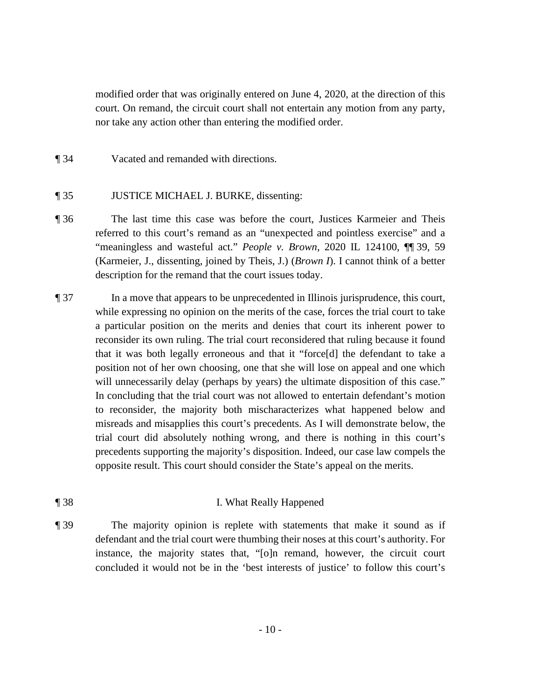modified order that was originally entered on June 4, 2020, at the direction of this court. On remand, the circuit court shall not entertain any motion from any party, nor take any action other than entering the modified order.

¶ 34 Vacated and remanded with directions.

### ¶ 35 JUSTICE MICHAEL J. BURKE, dissenting:

- ¶ 36 The last time this case was before the court, Justices Karmeier and Theis referred to this court's remand as an "unexpected and pointless exercise" and a "meaningless and wasteful act." *People v. Brown*, 2020 IL 124100, ¶¶ 39, 59 (Karmeier, J., dissenting, joined by Theis, J.) (*Brown I*). I cannot think of a better description for the remand that the court issues today.
- while expressing no opinion on the merits of the case, forces the trial court to take In concluding that the trial court was not allowed to entertain defendant's motion ¶ 37 In a move that appears to be unprecedented in Illinois jurisprudence, this court, a particular position on the merits and denies that court its inherent power to reconsider its own ruling. The trial court reconsidered that ruling because it found that it was both legally erroneous and that it "force[d] the defendant to take a position not of her own choosing, one that she will lose on appeal and one which will unnecessarily delay (perhaps by years) the ultimate disposition of this case." to reconsider, the majority both mischaracterizes what happened below and misreads and misapplies this court's precedents. As I will demonstrate below, the trial court did absolutely nothing wrong, and there is nothing in this court's precedents supporting the majority's disposition. Indeed, our case law compels the opposite result. This court should consider the State's appeal on the merits.
- ¶ 38 I. What Really Happened
- ¶ 39 The majority opinion is replete with statements that make it sound as if defendant and the trial court were thumbing their noses at this court's authority. For instance, the majority states that, "[o]n remand, however, the circuit court concluded it would not be in the 'best interests of justice' to follow this court's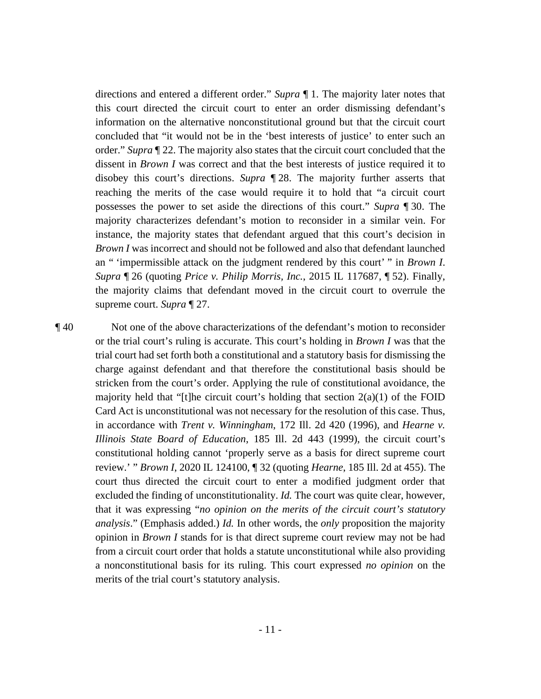order." *Supra* ¶ 22. The majority also states that the circuit court concluded that the dissent in *Brown I* was correct and that the best interests of justice required it to supreme court. *Supra* ¶ 27. directions and entered a different order." *Supra* ¶ 1. The majority later notes that this court directed the circuit court to enter an order dismissing defendant's information on the alternative nonconstitutional ground but that the circuit court concluded that "it would not be in the 'best interests of justice' to enter such an disobey this court's directions. *Supra* ¶ 28. The majority further asserts that reaching the merits of the case would require it to hold that "a circuit court possesses the power to set aside the directions of this court." *Supra* ¶ 30. The majority characterizes defendant's motion to reconsider in a similar vein. For instance, the majority states that defendant argued that this court's decision in *Brown I* was incorrect and should not be followed and also that defendant launched an " 'impermissible attack on the judgment rendered by this court' " in *Brown I*. *Supra* ¶ 26 (quoting *Price v. Philip Morris, Inc.*, 2015 IL 117687, ¶ 52). Finally, the majority claims that defendant moved in the circuit court to overrule the

 or the trial court's ruling is accurate. This court's holding in *Brown I* was that the opinion in *Brown I* stands for is that direct supreme court review may not be had ¶ 40 Not one of the above characterizations of the defendant's motion to reconsider trial court had set forth both a constitutional and a statutory basis for dismissing the charge against defendant and that therefore the constitutional basis should be stricken from the court's order. Applying the rule of constitutional avoidance, the majority held that "[t]he circuit court's holding that section  $2(a)(1)$  of the FOID Card Act is unconstitutional was not necessary for the resolution of this case. Thus, in accordance with *Trent v. Winningham*, 172 Ill. 2d 420 (1996), and *Hearne v. Illinois State Board of Education*, 185 Ill. 2d 443 (1999), the circuit court's constitutional holding cannot 'properly serve as a basis for direct supreme court review.' " *Brown I*, 2020 IL 124100, ¶ 32 (quoting *Hearne*, 185 Ill. 2d at 455). The court thus directed the circuit court to enter a modified judgment order that excluded the finding of unconstitutionality. *Id.* The court was quite clear, however, that it was expressing "*no opinion on the merits of the circuit court's statutory analysis*." (Emphasis added.) *Id.* In other words, the *only* proposition the majority from a circuit court order that holds a statute unconstitutional while also providing a nonconstitutional basis for its ruling. This court expressed *no opinion* on the merits of the trial court's statutory analysis.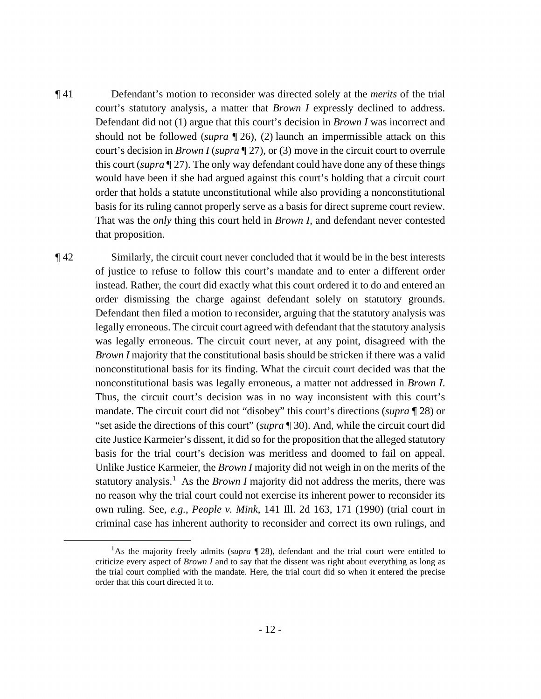court's statutory analysis, a matter that *Brown I* expressly declined to address. should not be followed (*supra* ¶ 26), (2) launch an impermissible attack on this court's decision in *Brown I* (*supra* ¶ 27), or (3) move in the circuit court to overrule would have been if she had argued against this court's holding that a circuit court order that holds a statute unconstitutional while also providing a nonconstitutional ¶ 41 Defendant's motion to reconsider was directed solely at the *merits* of the trial Defendant did not (1) argue that this court's decision in *Brown I* was incorrect and this court (*supra* ¶ 27). The only way defendant could have done any of these things basis for its ruling cannot properly serve as a basis for direct supreme court review. That was the *only* thing this court held in *Brown I*, and defendant never contested that proposition.

 *Brown I* majority that the constitutional basis should be stricken if there was a valid nonconstitutional basis was legally erroneous, a matter not addressed in *Brown I*. Thus, the circuit court's decision was in no way inconsistent with this court's Unlike Justice Karmeier, the *Brown I* majority did not weigh in on the merits of the statutory analysis.<sup>1</sup> As the *Brown I* majority did not address the merits, there was ¶ 42 Similarly, the circuit court never concluded that it would be in the best interests of justice to refuse to follow this court's mandate and to enter a different order instead. Rather, the court did exactly what this court ordered it to do and entered an order dismissing the charge against defendant solely on statutory grounds. Defendant then filed a motion to reconsider, arguing that the statutory analysis was legally erroneous. The circuit court agreed with defendant that the statutory analysis was legally erroneous. The circuit court never, at any point, disagreed with the nonconstitutional basis for its finding. What the circuit court decided was that the mandate. The circuit court did not "disobey" this court's directions (*supra* ¶ 28) or "set aside the directions of this court" (*supra* ¶ 30). And, while the circuit court did cite Justice Karmeier's dissent, it did so for the proposition that the alleged statutory basis for the trial court's decision was meritless and doomed to fail on appeal. no reason why the trial court could not exercise its inherent power to reconsider its own ruling. See, *e.g.*, *People v. Mink*, 141 Ill. 2d 163, 171 (1990) (trial court in criminal case has inherent authority to reconsider and correct its own rulings, and

<sup>&</sup>lt;sup>1</sup>As the majority freely admits (*supra* ¶ 28), defendant and the trial court were entitled to criticize every aspect of *Brown I* and to say that the dissent was right about everything as long as the trial court complied with the mandate. Here, the trial court did so when it entered the precise order that this court directed it to.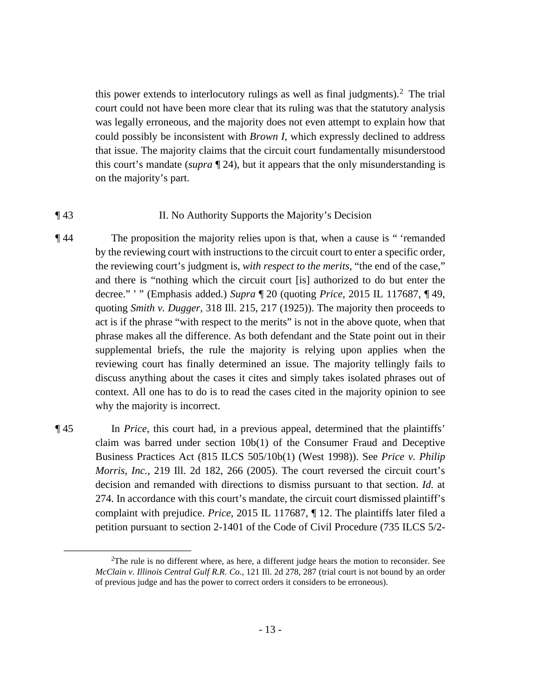this power extends to interlocutory rulings as well as final judgments).<sup>2</sup> The trial court could not have been more clear that its ruling was that the statutory analysis was legally erroneous, and the majority does not even attempt to explain how that could possibly be inconsistent with *Brown I*, which expressly declined to address that issue. The majority claims that the circuit court fundamentally misunderstood this court's mandate (*supra* ¶ 24), but it appears that the only misunderstanding is on the majority's part.

### ¶ 43 II. No Authority Supports the Majority's Decision

- decree." ' " (Emphasis added.) *Supra* ¶ 20 (quoting *Price*, 2015 IL 117687, ¶ 49, reviewing court has finally determined an issue. The majority tellingly fails to ¶ 44 The proposition the majority relies upon is that, when a cause is " 'remanded by the reviewing court with instructions to the circuit court to enter a specific order, the reviewing court's judgment is, *with respect to the merits*, "the end of the case," and there is "nothing which the circuit court [is] authorized to do but enter the quoting *Smith v. Dugger*, 318 Ill. 215, 217 (1925)). The majority then proceeds to act is if the phrase "with respect to the merits" is not in the above quote, when that phrase makes all the difference. As both defendant and the State point out in their supplemental briefs, the rule the majority is relying upon applies when the discuss anything about the cases it cites and simply takes isolated phrases out of context. All one has to do is to read the cases cited in the majority opinion to see why the majority is incorrect.
- Business Practices Act (815 ILCS 505/10b(1) (West 1998)). See *Price v. Philip*  complaint with prejudice. *Price*, 2015 IL 117687, ¶ 12. The plaintiffs later filed a ¶ 45 In *Price*, this court had, in a previous appeal, determined that the plaintiffs' claim was barred under section 10b(1) of the Consumer Fraud and Deceptive *Morris, Inc.*, 219 Ill. 2d 182, 266 (2005). The court reversed the circuit court's decision and remanded with directions to dismiss pursuant to that section. *Id.* at 274. In accordance with this court's mandate, the circuit court dismissed plaintiff's petition pursuant to section 2-1401 of the Code of Civil Procedure (735 ILCS 5/2-

 $2$ The rule is no different where, as here, a different judge hears the motion to reconsider. See *McClain v. Illinois Central Gulf R.R. Co.*, 121 Ill. 2d 278, 287 (trial court is not bound by an order of previous judge and has the power to correct orders it considers to be erroneous).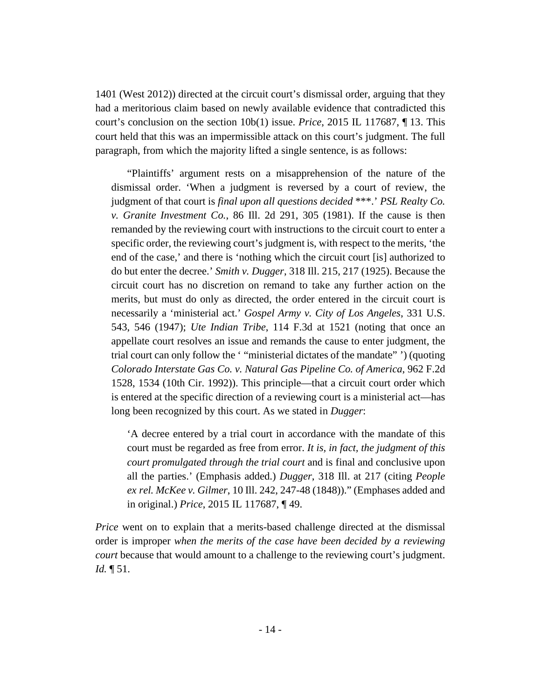court's conclusion on the section 10b(1) issue. *Price*, 2015 IL 117687, ¶ 13. This paragraph, from which the majority lifted a single sentence, is as follows: 1401 (West 2012)) directed at the circuit court's dismissal order, arguing that they had a meritorious claim based on newly available evidence that contradicted this court held that this was an impermissible attack on this court's judgment. The full

 judgment of that court is *final upon all questions decided* \*\*\*.' *PSL Realty Co.*  "Plaintiffs' argument rests on a misapprehension of the nature of the dismissal order. 'When a judgment is reversed by a court of review, the *v. Granite Investment Co.*, 86 Ill. 2d 291, 305 (1981). If the cause is then remanded by the reviewing court with instructions to the circuit court to enter a specific order, the reviewing court's judgment is, with respect to the merits, 'the end of the case,' and there is 'nothing which the circuit court [is] authorized to do but enter the decree.' *Smith v. Dugger*, 318 Ill. 215, 217 (1925). Because the circuit court has no discretion on remand to take any further action on the merits, but must do only as directed, the order entered in the circuit court is necessarily a 'ministerial act.' *Gospel Army v. City of Los Angeles*, 331 U.S. 543, 546 (1947); *Ute Indian Tribe*, 114 F.3d at 1521 (noting that once an appellate court resolves an issue and remands the cause to enter judgment, the trial court can only follow the ' "ministerial dictates of the mandate" ') (quoting *Colorado Interstate Gas Co. v. Natural Gas Pipeline Co. of America*, 962 F.2d 1528, 1534 (10th Cir. 1992)). This principle—that a circuit court order which is entered at the specific direction of a reviewing court is a ministerial act—has long been recognized by this court. As we stated in *Dugger*:

'A decree entered by a trial court in accordance with the mandate of this court must be regarded as free from error. *It is, in fact, the judgment of this court promulgated through the trial court* and is final and conclusive upon all the parties.' (Emphasis added.) *Dugger*, 318 Ill. at 217 (citing *People ex rel. McKee v. Gilmer*, 10 Ill. 242, 247-48 (1848))." (Emphases added and in original.) *Price*, 2015 IL 117687, ¶ 49.

*Price* went on to explain that a merits-based challenge directed at the dismissal order is improper *when the merits of the case have been decided by a reviewing court* because that would amount to a challenge to the reviewing court's judgment. *Id.* ¶ 51.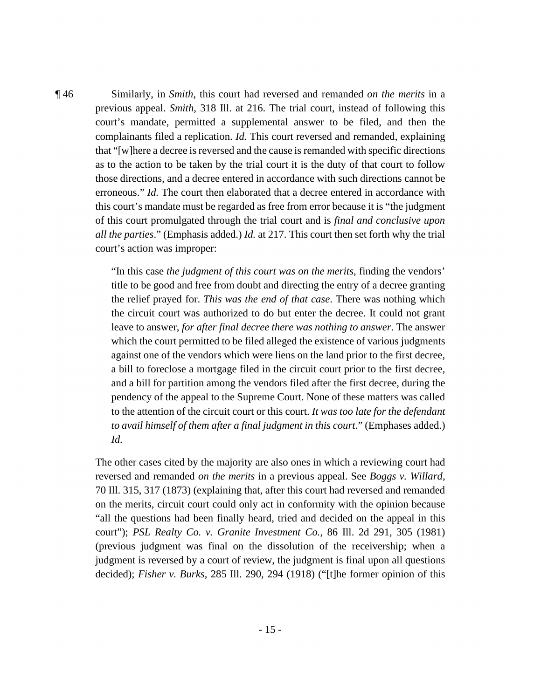those directions, and a decree entered in accordance with such directions cannot be erroneous." *Id*. The court then elaborated that a decree entered in accordance with of this court promulgated through the trial court and is *final and conclusive upon*  ¶ 46 Similarly, in *Smith*, this court had reversed and remanded *on the merits* in a previous appeal. *Smith*, 318 Ill. at 216. The trial court, instead of following this court's mandate, permitted a supplemental answer to be filed, and then the complainants filed a replication. *Id.* This court reversed and remanded, explaining that "[w]here a decree is reversed and the cause is remanded with specific directions as to the action to be taken by the trial court it is the duty of that court to follow this court's mandate must be regarded as free from error because it is "the judgment *all the parties*." (Emphasis added.) *Id.* at 217. This court then set forth why the trial court's action was improper:

> title to be good and free from doubt and directing the entry of a decree granting pendency of the appeal to the Supreme Court. None of these matters was called *to avail himself of them after a final judgment in this court*." (Emphases added.) *Id.* "In this case *the judgment of this court was on the merits*, finding the vendors' the relief prayed for. *This was the end of that case*. There was nothing which the circuit court was authorized to do but enter the decree. It could not grant leave to answer, *for after final decree there was nothing to answer*. The answer which the court permitted to be filed alleged the existence of various judgments against one of the vendors which were liens on the land prior to the first decree, a bill to foreclose a mortgage filed in the circuit court prior to the first decree, and a bill for partition among the vendors filed after the first decree, during the to the attention of the circuit court or this court. *It was too late for the defendant*

 reversed and remanded *on the merits* in a previous appeal. See *Boggs v. Willard*, "all the questions had been finally heard, tried and decided on the appeal in this court"); *PSL Realty Co. v. Granite Investment Co.*, 86 Ill. 2d 291, 305 (1981) The other cases cited by the majority are also ones in which a reviewing court had 70 Ill. 315, 317 (1873) (explaining that, after this court had reversed and remanded on the merits, circuit court could only act in conformity with the opinion because (previous judgment was final on the dissolution of the receivership; when a judgment is reversed by a court of review, the judgment is final upon all questions decided); *Fisher v. Burks*, 285 Ill. 290, 294 (1918) ("[t]he former opinion of this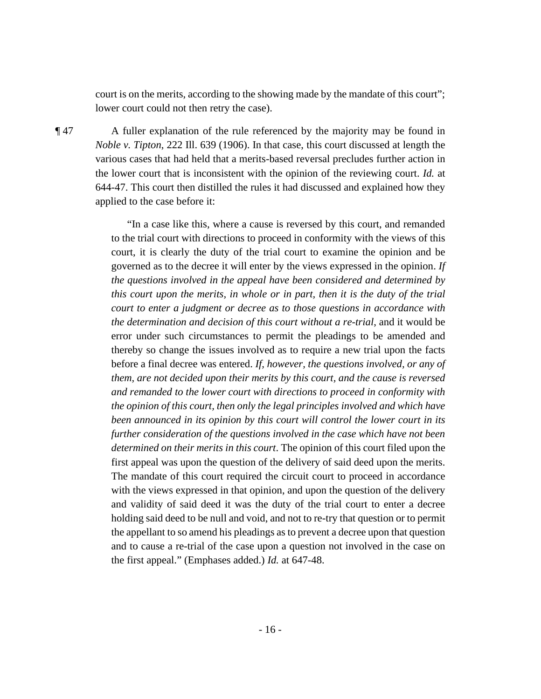court is on the merits, according to the showing made by the mandate of this court"; lower court could not then retry the case).

 various cases that had held that a merits-based reversal precludes further action in ¶ 47 A fuller explanation of the rule referenced by the majority may be found in *Noble v. Tipton*, 222 Ill. 639 (1906). In that case, this court discussed at length the the lower court that is inconsistent with the opinion of the reviewing court. *Id.* at 644-47. This court then distilled the rules it had discussed and explained how they applied to the case before it:

> *court to enter a judgment or decree as to those questions in accordance with*  thereby so change the issues involved as to require a new trial upon the facts "In a case like this, where a cause is reversed by this court, and remanded to the trial court with directions to proceed in conformity with the views of this court, it is clearly the duty of the trial court to examine the opinion and be governed as to the decree it will enter by the views expressed in the opinion. *If the questions involved in the appeal have been considered and determined by this court upon the merits, in whole or in part, then it is the duty of the trial the determination and decision of this court without a re-trial*, and it would be error under such circumstances to permit the pleadings to be amended and before a final decree was entered. *If, however, the questions involved, or any of them, are not decided upon their merits by this court, and the cause is reversed and remanded to the lower court with directions to proceed in conformity with the opinion of this court, then only the legal principles involved and which have been announced in its opinion by this court will control the lower court in its further consideration of the questions involved in the case which have not been determined on their merits in this court*. The opinion of this court filed upon the first appeal was upon the question of the delivery of said deed upon the merits. The mandate of this court required the circuit court to proceed in accordance with the views expressed in that opinion, and upon the question of the delivery and validity of said deed it was the duty of the trial court to enter a decree holding said deed to be null and void, and not to re-try that question or to permit the appellant to so amend his pleadings as to prevent a decree upon that question and to cause a re-trial of the case upon a question not involved in the case on the first appeal." (Emphases added.) *Id.* at 647-48.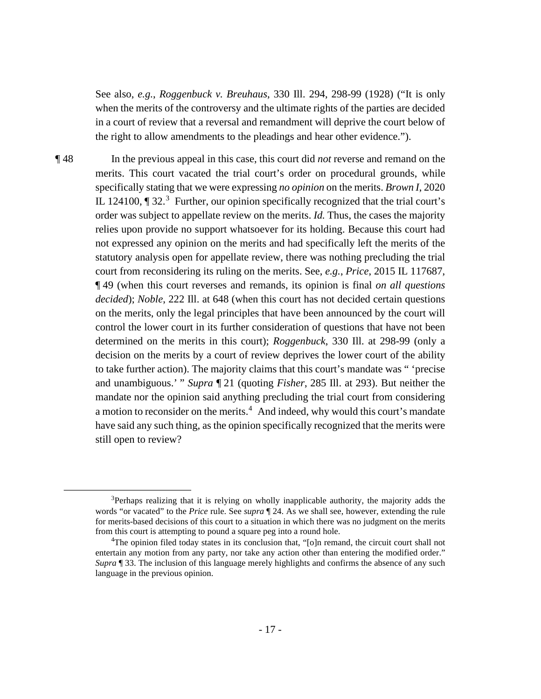See also, *e.g.*, *Roggenbuck v. Breuhaus*, 330 Ill. 294, 298-99 (1928) ("It is only when the merits of the controversy and the ultimate rights of the parties are decided in a court of review that a reversal and remandment will deprive the court below of the right to allow amendments to the pleadings and hear other evidence.").

 order was subject to appellate review on the merits. *Id.* Thus, the cases the majority decision on the merits by a court of review deprives the lower court of the ability and unambiguous.' " *Supra* ¶ 21 (quoting *Fisher*, 285 Ill. at 293). But neither the ¶ 48 In the previous appeal in this case, this court did *not* reverse and remand on the merits. This court vacated the trial court's order on procedural grounds, while specifically stating that we were expressing *no opinion* on the merits. *Brown I*, 2020 IL 124100,  $\P$  32.<sup>3</sup> Further, our opinion specifically recognized that the trial court's relies upon provide no support whatsoever for its holding. Because this court had not expressed any opinion on the merits and had specifically left the merits of the statutory analysis open for appellate review, there was nothing precluding the trial court from reconsidering its ruling on the merits. See, *e.g.*, *Price*, 2015 IL 117687, ¶ 49 (when this court reverses and remands, its opinion is final *on all questions decided*); *Noble*, 222 Ill. at 648 (when this court has not decided certain questions on the merits, only the legal principles that have been announced by the court will control the lower court in its further consideration of questions that have not been determined on the merits in this court); *Roggenbuck*, 330 Ill. at 298-99 (only a to take further action). The majority claims that this court's mandate was " 'precise mandate nor the opinion said anything precluding the trial court from considering a motion to reconsider on the merits.<sup>4</sup> And indeed, why would this court's mandate have said any such thing, as the opinion specifically recognized that the merits were still open to review?

 $3$ Perhaps realizing that it is relying on wholly inapplicable authority, the majority adds the words "or vacated" to the *Price* rule. See *supra* ¶ 24. As we shall see, however, extending the rule for merits-based decisions of this court to a situation in which there was no judgment on the merits from this court is attempting to pound a square peg into a round hole.

<sup>&</sup>lt;sup>4</sup>The opinion filed today states in its conclusion that, "[o]n remand, the circuit court shall not *Supra* ¶ 33. The inclusion of this language merely highlights and confirms the absence of any such entertain any motion from any party, nor take any action other than entering the modified order." language in the previous opinion.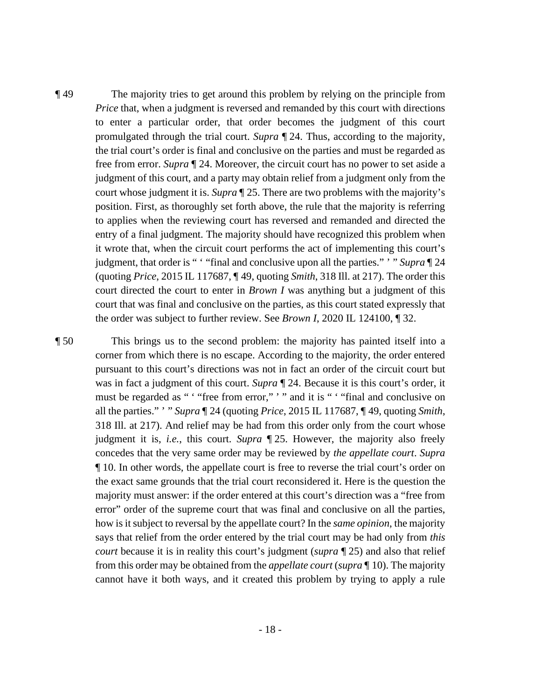free from error. *Supra* ¶ 24. Moreover, the circuit court has no power to set aside a court whose judgment it is. *Supra* ¶ 25. There are two problems with the majority's judgment, that order is " ' "final and conclusive upon all the parties." ' " *Supra* ¶ 24 ¶ 49 The majority tries to get around this problem by relying on the principle from *Price* that, when a judgment is reversed and remanded by this court with directions to enter a particular order, that order becomes the judgment of this court promulgated through the trial court. *Supra* ¶ 24. Thus, according to the majority, the trial court's order is final and conclusive on the parties and must be regarded as judgment of this court, and a party may obtain relief from a judgment only from the position. First, as thoroughly set forth above, the rule that the majority is referring to applies when the reviewing court has reversed and remanded and directed the entry of a final judgment. The majority should have recognized this problem when it wrote that, when the circuit court performs the act of implementing this court's (quoting *Price*, 2015 IL 117687, ¶ 49, quoting *Smith*, 318 Ill. at 217). The order this court directed the court to enter in *Brown I* was anything but a judgment of this court that was final and conclusive on the parties, as this court stated expressly that the order was subject to further review. See *Brown I*, 2020 IL 124100, ¶ 32.

 was in fact a judgment of this court. *Supra* ¶ 24. Because it is this court's order, it all the parties." ' " *Supra* ¶ 24 (quoting *Price*, 2015 IL 117687, ¶ 49, quoting *Smith*, majority must answer: if the order entered at this court's direction was a "free from how is it subject to reversal by the appellate court? In the *same opinion*, the majority from this order may be obtained from the *appellate court* (*supra* ¶ 10). The majority ¶ 50 This brings us to the second problem: the majority has painted itself into a corner from which there is no escape. According to the majority, the order entered pursuant to this court's directions was not in fact an order of the circuit court but must be regarded as " " "free from error," ' " and it is " " "final and conclusive on 318 Ill. at 217). And relief may be had from this order only from the court whose judgment it is, *i.e.*, this court. *Supra* ¶ 25. However, the majority also freely concedes that the very same order may be reviewed by *the appellate court*. *Supra*  ¶ 10. In other words, the appellate court is free to reverse the trial court's order on the exact same grounds that the trial court reconsidered it. Here is the question the error" order of the supreme court that was final and conclusive on all the parties, says that relief from the order entered by the trial court may be had only from *this court* because it is in reality this court's judgment (*supra* ¶ 25) and also that relief cannot have it both ways, and it created this problem by trying to apply a rule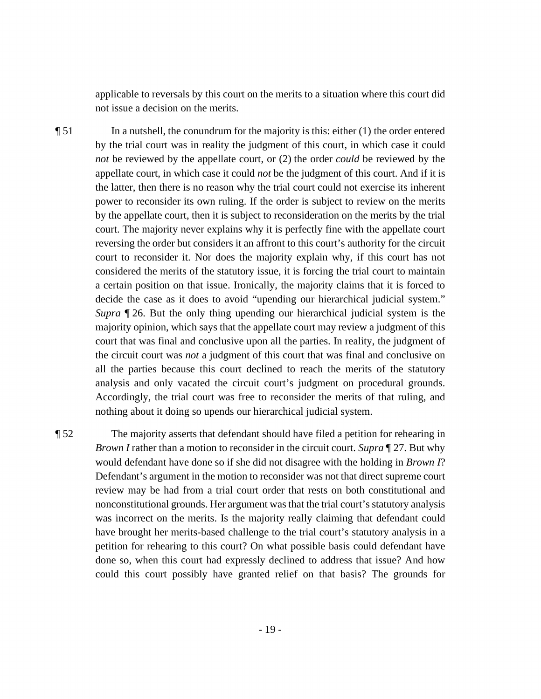applicable to reversals by this court on the merits to a situation where this court did not issue a decision on the merits.

 $\P$  51 In a nutshell, the conundrum for the majority is this: either (1) the order entered court to reconsider it. Nor does the majority explain why, if this court has not considered the merits of the statutory issue, it is forcing the trial court to maintain by the trial court was in reality the judgment of this court, in which case it could *not* be reviewed by the appellate court, or (2) the order *could* be reviewed by the appellate court, in which case it could *not* be the judgment of this court. And if it is the latter, then there is no reason why the trial court could not exercise its inherent power to reconsider its own ruling. If the order is subject to review on the merits by the appellate court, then it is subject to reconsideration on the merits by the trial court. The majority never explains why it is perfectly fine with the appellate court reversing the order but considers it an affront to this court's authority for the circuit a certain position on that issue. Ironically, the majority claims that it is forced to decide the case as it does to avoid "upending our hierarchical judicial system." *Supra* ¶ 26. But the only thing upending our hierarchical judicial system is the majority opinion, which says that the appellate court may review a judgment of this court that was final and conclusive upon all the parties. In reality, the judgment of the circuit court was *not* a judgment of this court that was final and conclusive on all the parties because this court declined to reach the merits of the statutory analysis and only vacated the circuit court's judgment on procedural grounds. Accordingly, the trial court was free to reconsider the merits of that ruling, and nothing about it doing so upends our hierarchical judicial system.

 *Brown I* rather than a motion to reconsider in the circuit court. *Supra* ¶ 27. But why ¶ 52 The majority asserts that defendant should have filed a petition for rehearing in would defendant have done so if she did not disagree with the holding in *Brown I*? Defendant's argument in the motion to reconsider was not that direct supreme court review may be had from a trial court order that rests on both constitutional and nonconstitutional grounds. Her argument was that the trial court's statutory analysis was incorrect on the merits. Is the majority really claiming that defendant could have brought her merits-based challenge to the trial court's statutory analysis in a petition for rehearing to this court? On what possible basis could defendant have done so, when this court had expressly declined to address that issue? And how could this court possibly have granted relief on that basis? The grounds for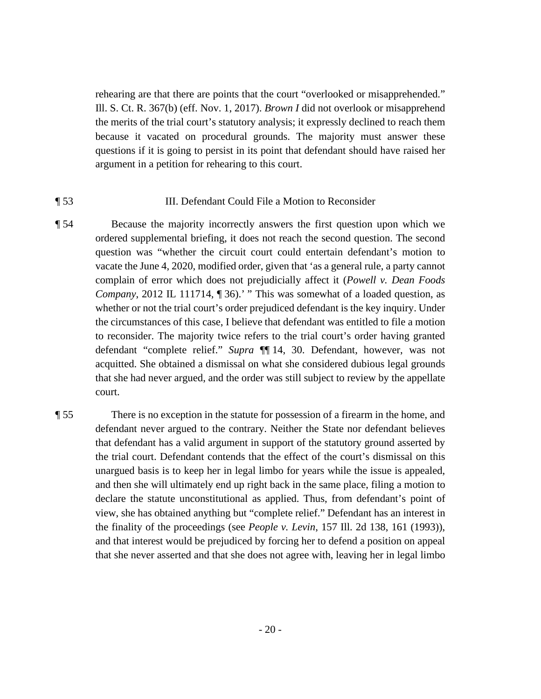rehearing are that there are points that the court "overlooked or misapprehended." Ill. S. Ct. R. 367(b) (eff. Nov. 1, 2017). *Brown I* did not overlook or misapprehend the merits of the trial court's statutory analysis; it expressly declined to reach them because it vacated on procedural grounds. The majority must answer these questions if it is going to persist in its point that defendant should have raised her argument in a petition for rehearing to this court.

## ¶ 53 III. Defendant Could File a Motion to Reconsider

- *Company*, 2012 IL 111714, [136].' " This was somewhat of a loaded question, as the circumstances of this case, I believe that defendant was entitled to file a motion defendant "complete relief." *Supra* ¶¶ 14, 30. Defendant, however, was not ¶ 54 Because the majority incorrectly answers the first question upon which we ordered supplemental briefing, it does not reach the second question. The second question was "whether the circuit court could entertain defendant's motion to vacate the June 4, 2020, modified order, given that 'as a general rule, a party cannot complain of error which does not prejudicially affect it (*Powell v. Dean Foods*  whether or not the trial court's order prejudiced defendant is the key inquiry. Under to reconsider. The majority twice refers to the trial court's order having granted acquitted. She obtained a dismissal on what she considered dubious legal grounds that she had never argued, and the order was still subject to review by the appellate court.
- declare the statute unconstitutional as applied. Thus, from defendant's point of ¶ 55 There is no exception in the statute for possession of a firearm in the home, and defendant never argued to the contrary. Neither the State nor defendant believes that defendant has a valid argument in support of the statutory ground asserted by the trial court. Defendant contends that the effect of the court's dismissal on this unargued basis is to keep her in legal limbo for years while the issue is appealed, and then she will ultimately end up right back in the same place, filing a motion to view, she has obtained anything but "complete relief." Defendant has an interest in the finality of the proceedings (see *People v. Levin*, 157 Ill. 2d 138, 161 (1993)), and that interest would be prejudiced by forcing her to defend a position on appeal that she never asserted and that she does not agree with, leaving her in legal limbo